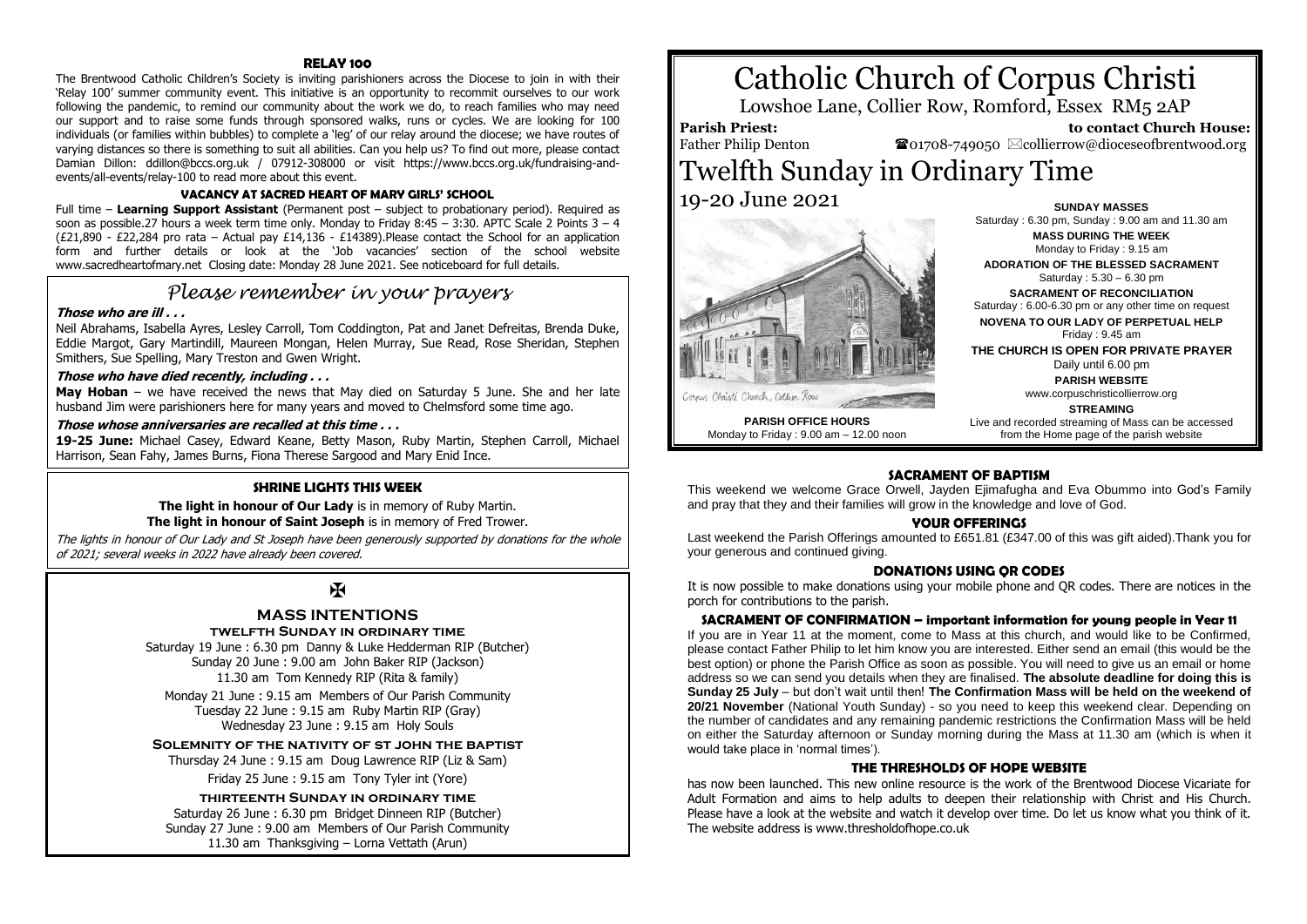#### **RELAY 100**

The Brentwood Catholic Children's Society is inviting parishioners across the Diocese to join in with their 'Relay 100' summer community event. This initiative is an opportunity to recommit ourselves to our work following the pandemic, to remind our community about the work we do, to reach families who may need our support and to raise some funds through sponsored walks, runs or cycles. We are looking for 100 individuals (or families within bubbles) to complete a 'leg' of our relay around the diocese; we have routes of varying distances so there is something to suit all abilities. Can you help us? To find out more, please contact Damian Dillon: ddillon@bccs.org.uk / 07912-308000 or visit https://www.bccs.org.uk/fundraising-andevents/all-events/relay-100 to read more about this event.

#### **VACANCY AT SACRED HEART OF MARY GIRLS' SCHOOL**

Full time – **Learning Support Assistant** (Permanent post – subject to probationary period). Required as soon as possible.27 hours a week term time only. Monday to Friday 8:45 – 3:30. APTC Scale 2 Points 3 – 4 (£21,890 - £22,284 pro rata – Actual pay £14,136 - £14389). Please contact the School for an application form and further details or look at the 'Job vacancies' section of the school website www.sacredheartofmary.net Closing date: Monday 28 June 2021. See noticeboard for full details.

## *Please remember in your prayers*

#### **Those who are ill . . .**

Neil Abrahams, Isabella Ayres, Lesley Carroll, Tom Coddington, Pat and Janet Defreitas, Brenda Duke, Eddie Margot, Gary Martindill, Maureen Mongan, Helen Murray, Sue Read, Rose Sheridan, Stephen Smithers, Sue Spelling, Mary Treston and Gwen Wright.

#### **Those who have died recently, including . . .**

**May Hoban** – we have received the news that May died on Saturday 5 June. She and her late husband Jim were parishioners here for many years and moved to Chelmsford some time ago.

#### **Those whose anniversaries are recalled at this time . . .**

**19-25 June:** Michael Casey, Edward Keane, Betty Mason, Ruby Martin, Stephen Carroll, Michael Harrison, Sean Fahy, James Burns, Fiona Therese Sargood and Mary Enid Ince.

#### **SHRINE LIGHTS THIS WEEK**

**The light in honour of Our Lady** is in memory of Ruby Martin. **The light in honour of Saint Joseph** is in memory of Fred Trower.

The lights in honour of Our Lady and St Joseph have been generously supported by donations for the whole of 2021; several weeks in 2022 have already been covered.

## $\mathbf{H}$

#### **MASS INTENTIONS**

#### **twelfth Sunday in ordinary time**

Saturday 19 June : 6.30 pm Danny & Luke Hedderman RIP (Butcher) Sunday 20 June : 9.00 am John Baker RIP (Jackson) 11.30 am Tom Kennedy RIP (Rita & family)

Monday 21 June : 9.15 am Members of Our Parish Community Tuesday 22 June : 9.15 am Ruby Martin RIP (Gray) Wednesday 23 June : 9.15 am Holy Souls

**Solemnity of the nativity of st john the baptist**

Thursday 24 June : 9.15 am Doug Lawrence RIP (Liz & Sam)

Friday 25 June : 9.15 am Tony Tyler int (Yore)

### **thirteenth Sunday in ordinary time**

Saturday 26 June : 6.30 pm Bridget Dinneen RIP (Butcher) Sunday 27 June : 9.00 am Members of Our Parish Community 11.30 am Thanksgiving – Lorna Vettath (Arun)

# Catholic Church of Corpus Christi

Lowshoe Lane, Collier Row, Romford, Essex RM5 2AP

#### **Parish Priest:** Father Philip Denton

 **to contact Church House:**  $\bullet$ 01708-749050  $\boxtimes$ collierrow@dioceseofbrentwood.org

## Twelfth Sunday in Ordinary Time 19-20 June 2021



**SUNDAY MASSES** Saturday : 6.30 pm, Sunday : 9.00 am and 11.30 am **MASS DURING THE WEEK** Monday to Friday : 9.15 am

**ADORATION OF THE BLESSED SACRAMENT** Saturday : 5.30 – 6.30 pm

**SACRAMENT OF RECONCILIATION** Saturday : 6.00-6.30 pm or any other time on request

**NOVENA TO OUR LADY OF PERPETUAL HELP** Friday : 9.45 am

**THE CHURCH IS OPEN FOR PRIVATE PRAYER** Daily until 6.00 pm

**PARISH WEBSITE** www.corpuschristicollierrow.org

**STREAMING**

**PARISH OFFICE HOURS** Monday to Friday : 9.00 am – 12.00 noon

Live and recorded streaming of Mass can be accessed from the Home page of the parish website

#### **SACRAMENT OF BAPTISM**

This weekend we welcome Grace Orwell, Jayden Ejimafugha and Eva Obummo into God's Family and pray that they and their families will grow in the knowledge and love of God.

#### **YOUR OFFERINGS**

Last weekend the Parish Offerings amounted to £651.81 (£347.00 of this was gift aided).Thank you for your generous and continued giving.

#### **DONATIONS USING QR CODES**

It is now possible to make donations using your mobile phone and QR codes. There are notices in the porch for contributions to the parish.

#### **SACRAMENT OF CONFIRMATION – important information for young people in Year 11**

If you are in Year 11 at the moment, come to Mass at this church, and would like to be Confirmed, please contact Father Philip to let him know you are interested. Either send an email (this would be the best option) or phone the Parish Office as soon as possible. You will need to give us an email or home address so we can send you details when they are finalised. **The absolute deadline for doing this is Sunday 25 July** – but don't wait until then! **The Confirmation Mass will be held on the weekend of 20/21 November** (National Youth Sunday) - so you need to keep this weekend clear. Depending on the number of candidates and any remaining pandemic restrictions the Confirmation Mass will be held on either the Saturday afternoon or Sunday morning during the Mass at 11.30 am (which is when it would take place in 'normal times').

#### **THE THRESHOLDS OF HOPE WEBSITE**

has now been launched. This new online resource is the work of the Brentwood Diocese Vicariate for Adult Formation and aims to help adults to deepen their relationship with Christ and His Church. Please have a look at the website and watch it develop over time. Do let us know what you think of it. The website address is www.thresholdofhope.co.uk